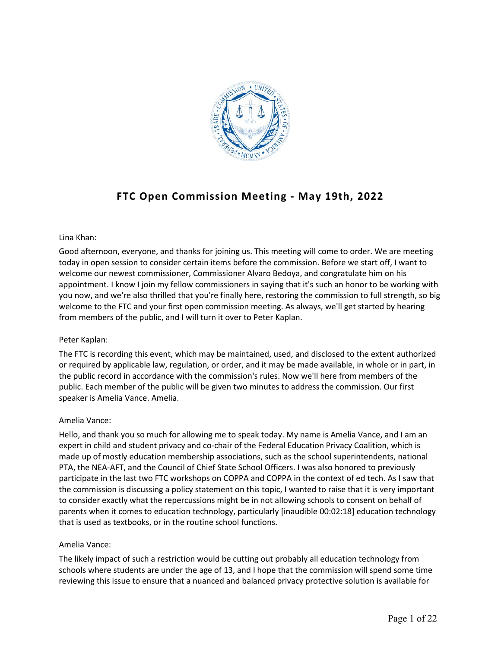

# **FTC Open Commission Meeting - May 19th, 2022**

# Lina Khan:

Good afternoon, everyone, and thanks for joining us. This meeting will come to order. We are meeting today in open session to consider certain items before the commission. Before we start off, I want to welcome our newest commissioner, Commissioner Alvaro Bedoya, and congratulate him on his appointment. I know I join my fellow commissioners in saying that it's such an honor to be working with you now, and we're also thrilled that you're finally here, restoring the commission to full strength, so big welcome to the FTC and your first open commission meeting. As always, we'll get started by hearing from members of the public, and I will turn it over to Peter Kaplan.

# Peter Kaplan:

The FTC is recording this event, which may be maintained, used, and disclosed to the extent authorized or required by applicable law, regulation, or order, and it may be made available, in whole or in part, in the public record in accordance with the commission's rules. Now we'll here from members of the public. Each member of the public will be given two minutes to address the commission. Our first speaker is Amelia Vance. Amelia.

# Amelia Vance:

Hello, and thank you so much for allowing me to speak today. My name is Amelia Vance, and I am an expert in child and student privacy and co-chair of the Federal Education Privacy Coalition, which is made up of mostly education membership associations, such as the school superintendents, national PTA, the NEA-AFT, and the Council of Chief State School Officers. I was also honored to previously participate in the last two FTC workshops on COPPA and COPPA in the context of ed tech. As I saw that the commission is discussing a policy statement on this topic, I wanted to raise that it is very important to consider exactly what the repercussions might be in not allowing schools to consent on behalf of parents when it comes to education technology, particularly [inaudible 00:02:18] education technology that is used as textbooks, or in the routine school functions.

# Amelia Vance:

The likely impact of such a restriction would be cutting out probably all education technology from schools where students are under the age of 13, and I hope that the commission will spend some time reviewing this issue to ensure that a nuanced and balanced privacy protective solution is available for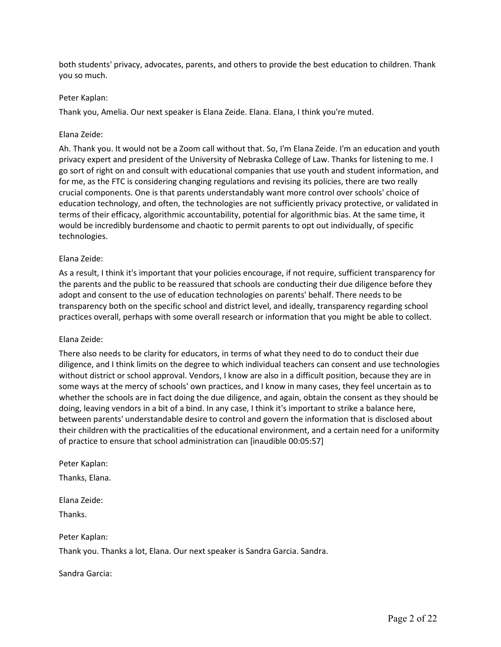both students' privacy, advocates, parents, and others to provide the best education to children. Thank you so much.

### Peter Kaplan:

Thank you, Amelia. Our next speaker is Elana Zeide. Elana. Elana, I think you're muted.

#### Elana Zeide:

Ah. Thank you. It would not be a Zoom call without that. So, I'm Elana Zeide. I'm an education and youth privacy expert and president of the University of Nebraska College of Law. Thanks for listening to me. I go sort of right on and consult with educational companies that use youth and student information, and for me, as the FTC is considering changing regulations and revising its policies, there are two really crucial components. One is that parents understandably want more control over schools' choice of education technology, and often, the technologies are not sufficiently privacy protective, or validated in terms of their efficacy, algorithmic accountability, potential for algorithmic bias. At the same time, it would be incredibly burdensome and chaotic to permit parents to opt out individually, of specific technologies.

### Elana Zeide:

As a result, I think it's important that your policies encourage, if not require, sufficient transparency for the parents and the public to be reassured that schools are conducting their due diligence before they adopt and consent to the use of education technologies on parents' behalf. There needs to be transparency both on the specific school and district level, and ideally, transparency regarding school practices overall, perhaps with some overall research or information that you might be able to collect.

#### Elana Zeide:

There also needs to be clarity for educators, in terms of what they need to do to conduct their due diligence, and I think limits on the degree to which individual teachers can consent and use technologies without district or school approval. Vendors, I know are also in a difficult position, because they are in some ways at the mercy of schools' own practices, and I know in many cases, they feel uncertain as to whether the schools are in fact doing the due diligence, and again, obtain the consent as they should be doing, leaving vendors in a bit of a bind. In any case, I think it's important to strike a balance here, between parents' understandable desire to control and govern the information that is disclosed about their children with the practicalities of the educational environment, and a certain need for a uniformity of practice to ensure that school administration can [inaudible 00:05:57]

Peter Kaplan:

Thanks, Elana.

Elana Zeide:

Thanks.

Peter Kaplan:

Thank you. Thanks a lot, Elana. Our next speaker is Sandra Garcia. Sandra.

Sandra Garcia: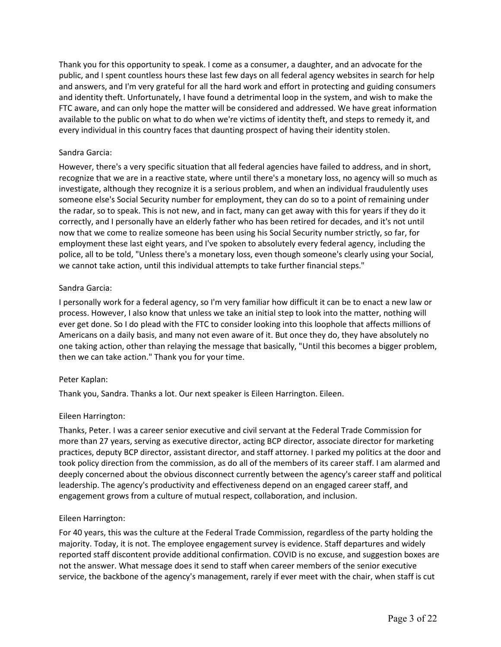Thank you for this opportunity to speak. I come as a consumer, a daughter, and an advocate for the public, and I spent countless hours these last few days on all federal agency websites in search for help and answers, and I'm very grateful for all the hard work and effort in protecting and guiding consumers and identity theft. Unfortunately, I have found a detrimental loop in the system, and wish to make the FTC aware, and can only hope the matter will be considered and addressed. We have great information available to the public on what to do when we're victims of identity theft, and steps to remedy it, and every individual in this country faces that daunting prospect of having their identity stolen.

### Sandra Garcia:

However, there's a very specific situation that all federal agencies have failed to address, and in short, recognize that we are in a reactive state, where until there's a monetary loss, no agency will so much as investigate, although they recognize it is a serious problem, and when an individual fraudulently uses someone else's Social Security number for employment, they can do so to a point of remaining under the radar, so to speak. This is not new, and in fact, many can get away with this for years if they do it correctly, and I personally have an elderly father who has been retired for decades, and it's not until now that we come to realize someone has been using his Social Security number strictly, so far, for employment these last eight years, and I've spoken to absolutely every federal agency, including the police, all to be told, "Unless there's a monetary loss, even though someone's clearly using your Social, we cannot take action, until this individual attempts to take further financial steps."

### Sandra Garcia:

I personally work for a federal agency, so I'm very familiar how difficult it can be to enact a new law or process. However, I also know that unless we take an initial step to look into the matter, nothing will ever get done. So I do plead with the FTC to consider looking into this loophole that affects millions of Americans on a daily basis, and many not even aware of it. But once they do, they have absolutely no one taking action, other than relaying the message that basically, "Until this becomes a bigger problem, then we can take action." Thank you for your time.

#### Peter Kaplan:

Thank you, Sandra. Thanks a lot. Our next speaker is Eileen Harrington. Eileen.

#### Eileen Harrington:

Thanks, Peter. I was a career senior executive and civil servant at the Federal Trade Commission for more than 27 years, serving as executive director, acting BCP director, associate director for marketing practices, deputy BCP director, assistant director, and staff attorney. I parked my politics at the door and took policy direction from the commission, as do all of the members of its career staff. I am alarmed and deeply concerned about the obvious disconnect currently between the agency's career staff and political leadership. The agency's productivity and effectiveness depend on an engaged career staff, and engagement grows from a culture of mutual respect, collaboration, and inclusion.

# Eileen Harrington:

For 40 years, this was the culture at the Federal Trade Commission, regardless of the party holding the majority. Today, it is not. The employee engagement survey is evidence. Staff departures and widely reported staff discontent provide additional confirmation. COVID is no excuse, and suggestion boxes are not the answer. What message does it send to staff when career members of the senior executive service, the backbone of the agency's management, rarely if ever meet with the chair, when staff is cut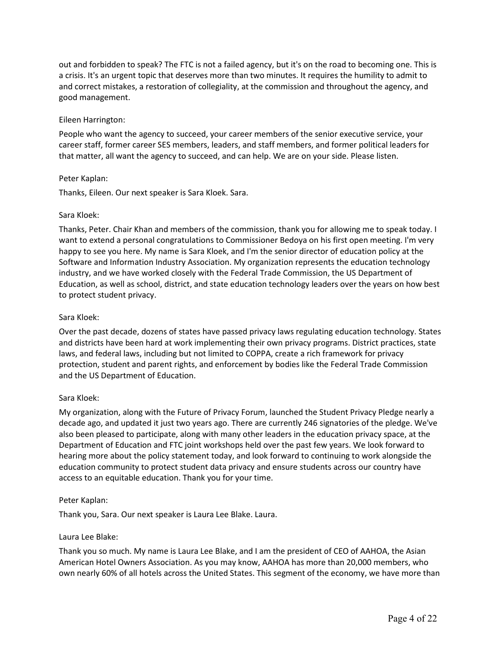out and forbidden to speak? The FTC is not a failed agency, but it's on the road to becoming one. This is a crisis. It's an urgent topic that deserves more than two minutes. It requires the humility to admit to and correct mistakes, a restoration of collegiality, at the commission and throughout the agency, and good management.

### Eileen Harrington:

People who want the agency to succeed, your career members of the senior executive service, your career staff, former career SES members, leaders, and staff members, and former political leaders for that matter, all want the agency to succeed, and can help. We are on your side. Please listen.

### Peter Kaplan:

Thanks, Eileen. Our next speaker is Sara Kloek. Sara.

### Sara Kloek:

Thanks, Peter. Chair Khan and members of the commission, thank you for allowing me to speak today. I want to extend a personal congratulations to Commissioner Bedoya on his first open meeting. I'm very happy to see you here. My name is Sara Kloek, and I'm the senior director of education policy at the Software and Information Industry Association. My organization represents the education technology industry, and we have worked closely with the Federal Trade Commission, the US Department of Education, as well as school, district, and state education technology leaders over the years on how best to protect student privacy.

### Sara Kloek:

Over the past decade, dozens of states have passed privacy laws regulating education technology. States and districts have been hard at work implementing their own privacy programs. District practices, state laws, and federal laws, including but not limited to COPPA, create a rich framework for privacy protection, student and parent rights, and enforcement by bodies like the Federal Trade Commission and the US Department of Education.

#### Sara Kloek:

My organization, along with the Future of Privacy Forum, launched the Student Privacy Pledge nearly a decade ago, and updated it just two years ago. There are currently 246 signatories of the pledge. We've also been pleased to participate, along with many other leaders in the education privacy space, at the Department of Education and FTC joint workshops held over the past few years. We look forward to hearing more about the policy statement today, and look forward to continuing to work alongside the education community to protect student data privacy and ensure students across our country have access to an equitable education. Thank you for your time.

#### Peter Kaplan:

Thank you, Sara. Our next speaker is Laura Lee Blake. Laura.

#### Laura Lee Blake:

Thank you so much. My name is Laura Lee Blake, and I am the president of CEO of AAHOA, the Asian American Hotel Owners Association. As you may know, AAHOA has more than 20,000 members, who own nearly 60% of all hotels across the United States. This segment of the economy, we have more than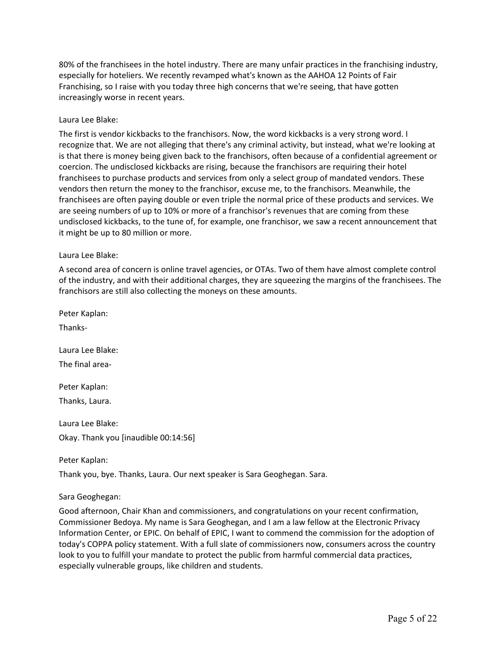80% of the franchisees in the hotel industry. There are many unfair practices in the franchising industry, especially for hoteliers. We recently revamped what's known as the AAHOA 12 Points of Fair Franchising, so I raise with you today three high concerns that we're seeing, that have gotten increasingly worse in recent years.

### Laura Lee Blake:

The first is vendor kickbacks to the franchisors. Now, the word kickbacks is a very strong word. I recognize that. We are not alleging that there's any criminal activity, but instead, what we're looking at is that there is money being given back to the franchisors, often because of a confidential agreement or coercion. The undisclosed kickbacks are rising, because the franchisors are requiring their hotel franchisees to purchase products and services from only a select group of mandated vendors. These vendors then return the money to the franchisor, excuse me, to the franchisors. Meanwhile, the franchisees are often paying double or even triple the normal price of these products and services. We are seeing numbers of up to 10% or more of a franchisor's revenues that are coming from these undisclosed kickbacks, to the tune of, for example, one franchisor, we saw a recent announcement that it might be up to 80 million or more.

### Laura Lee Blake:

A second area of concern is online travel agencies, or OTAs. Two of them have almost complete control of the industry, and with their additional charges, they are squeezing the margins of the franchisees. The franchisors are still also collecting the moneys on these amounts.

Peter Kaplan:

Thanks-

Laura Lee Blake: The final area-

Peter Kaplan:

Thanks, Laura.

Laura Lee Blake: Okay. Thank you [inaudible 00:14:56]

Peter Kaplan: Thank you, bye. Thanks, Laura. Our next speaker is Sara Geoghegan. Sara.

#### Sara Geoghegan:

Good afternoon, Chair Khan and commissioners, and congratulations on your recent confirmation, Commissioner Bedoya. My name is Sara Geoghegan, and I am a law fellow at the Electronic Privacy Information Center, or EPIC. On behalf of EPIC, I want to commend the commission for the adoption of today's COPPA policy statement. With a full slate of commissioners now, consumers across the country look to you to fulfill your mandate to protect the public from harmful commercial data practices, especially vulnerable groups, like children and students.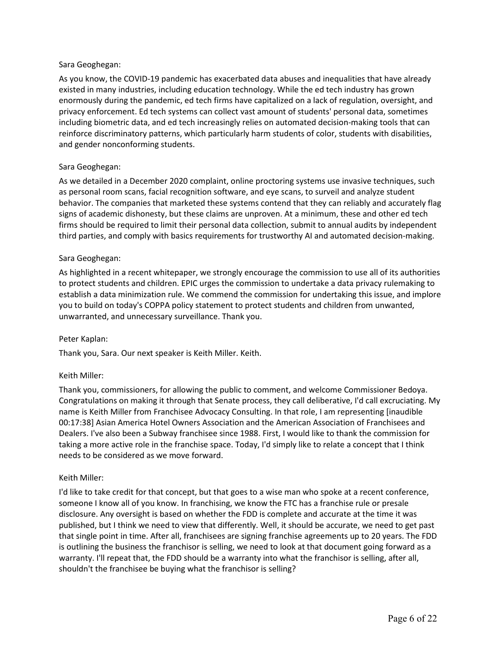# Sara Geoghegan:

As you know, the COVID-19 pandemic has exacerbated data abuses and inequalities that have already existed in many industries, including education technology. While the ed tech industry has grown enormously during the pandemic, ed tech firms have capitalized on a lack of regulation, oversight, and privacy enforcement. Ed tech systems can collect vast amount of students' personal data, sometimes including biometric data, and ed tech increasingly relies on automated decision-making tools that can reinforce discriminatory patterns, which particularly harm students of color, students with disabilities, and gender nonconforming students.

# Sara Geoghegan:

As we detailed in a December 2020 complaint, online proctoring systems use invasive techniques, such as personal room scans, facial recognition software, and eye scans, to surveil and analyze student behavior. The companies that marketed these systems contend that they can reliably and accurately flag signs of academic dishonesty, but these claims are unproven. At a minimum, these and other ed tech firms should be required to limit their personal data collection, submit to annual audits by independent third parties, and comply with basics requirements for trustworthy AI and automated decision-making.

# Sara Geoghegan:

As highlighted in a recent whitepaper, we strongly encourage the commission to use all of its authorities to protect students and children. EPIC urges the commission to undertake a data privacy rulemaking to establish a data minimization rule. We commend the commission for undertaking this issue, and implore you to build on today's COPPA policy statement to protect students and children from unwanted, unwarranted, and unnecessary surveillance. Thank you.

# Peter Kaplan:

Thank you, Sara. Our next speaker is Keith Miller. Keith.

#### Keith Miller:

Thank you, commissioners, for allowing the public to comment, and welcome Commissioner Bedoya. Congratulations on making it through that Senate process, they call deliberative, I'd call excruciating. My name is Keith Miller from Franchisee Advocacy Consulting. In that role, I am representing [inaudible 00:17:38] Asian America Hotel Owners Association and the American Association of Franchisees and Dealers. I've also been a Subway franchisee since 1988. First, I would like to thank the commission for taking a more active role in the franchise space. Today, I'd simply like to relate a concept that I think needs to be considered as we move forward.

#### Keith Miller:

I'd like to take credit for that concept, but that goes to a wise man who spoke at a recent conference, someone I know all of you know. In franchising, we know the FTC has a franchise rule or presale disclosure. Any oversight is based on whether the FDD is complete and accurate at the time it was published, but I think we need to view that differently. Well, it should be accurate, we need to get past that single point in time. After all, franchisees are signing franchise agreements up to 20 years. The FDD is outlining the business the franchisor is selling, we need to look at that document going forward as a warranty. I'll repeat that, the FDD should be a warranty into what the franchisor is selling, after all, shouldn't the franchisee be buying what the franchisor is selling?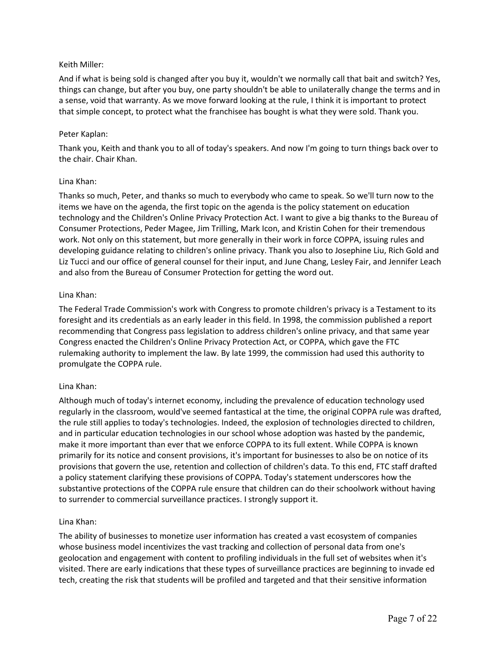# Keith Miller:

And if what is being sold is changed after you buy it, wouldn't we normally call that bait and switch? Yes, things can change, but after you buy, one party shouldn't be able to unilaterally change the terms and in a sense, void that warranty. As we move forward looking at the rule, I think it is important to protect that simple concept, to protect what the franchisee has bought is what they were sold. Thank you.

### Peter Kaplan:

Thank you, Keith and thank you to all of today's speakers. And now I'm going to turn things back over to the chair. Chair Khan.

### Lina Khan:

Thanks so much, Peter, and thanks so much to everybody who came to speak. So we'll turn now to the items we have on the agenda, the first topic on the agenda is the policy statement on education technology and the Children's Online Privacy Protection Act. I want to give a big thanks to the Bureau of Consumer Protections, Peder Magee, Jim Trilling, Mark Icon, and Kristin Cohen for their tremendous work. Not only on this statement, but more generally in their work in force COPPA, issuing rules and developing guidance relating to children's online privacy. Thank you also to Josephine Liu, Rich Gold and Liz Tucci and our office of general counsel for their input, and June Chang, Lesley Fair, and Jennifer Leach and also from the Bureau of Consumer Protection for getting the word out.

### Lina Khan:

The Federal Trade Commission's work with Congress to promote children's privacy is a Testament to its foresight and its credentials as an early leader in this field. In 1998, the commission published a report recommending that Congress pass legislation to address children's online privacy, and that same year Congress enacted the Children's Online Privacy Protection Act, or COPPA, which gave the FTC rulemaking authority to implement the law. By late 1999, the commission had used this authority to promulgate the COPPA rule.

# Lina Khan:

Although much of today's internet economy, including the prevalence of education technology used regularly in the classroom, would've seemed fantastical at the time, the original COPPA rule was drafted, the rule still applies to today's technologies. Indeed, the explosion of technologies directed to children, and in particular education technologies in our school whose adoption was hasted by the pandemic, make it more important than ever that we enforce COPPA to its full extent. While COPPA is known primarily for its notice and consent provisions, it's important for businesses to also be on notice of its provisions that govern the use, retention and collection of children's data. To this end, FTC staff drafted a policy statement clarifying these provisions of COPPA. Today's statement underscores how the substantive protections of the COPPA rule ensure that children can do their schoolwork without having to surrender to commercial surveillance practices. I strongly support it.

#### Lina Khan:

The ability of businesses to monetize user information has created a vast ecosystem of companies whose business model incentivizes the vast tracking and collection of personal data from one's geolocation and engagement with content to profiling individuals in the full set of websites when it's visited. There are early indications that these types of surveillance practices are beginning to invade ed tech, creating the risk that students will be profiled and targeted and that their sensitive information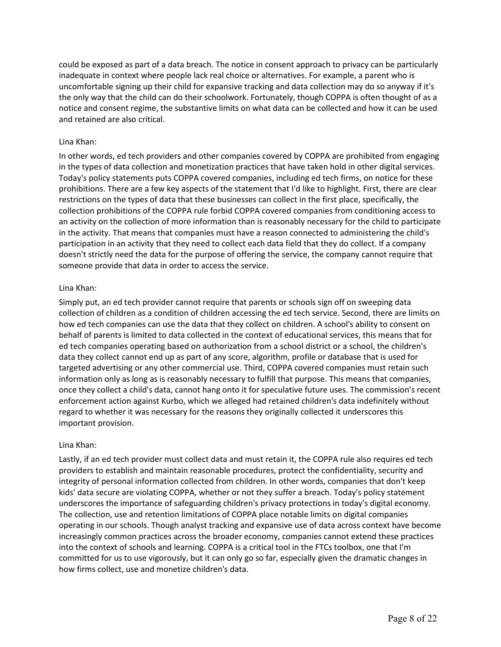could be exposed as part of a data breach. The notice in consent approach to privacy can be particularly inadequate in context where people lack real choice or alternatives. For example, a parent who is uncomfortable signing up their child for expansive tracking and data collection may do so anyway if it's the only way that the child can do their schoolwork. Fortunately, though COPPA is often thought of as a notice and consent regime, the substantive limits on what data can be collected and how it can be used and retained are also critical.

### Lina Khan:

In other words, ed tech providers and other companies covered by COPPA are prohibited from engaging in the types of data collection and monetization practices that have taken hold in other digital services. Today's policy statements puts COPPA covered companies, including ed tech firms, on notice for these prohibitions. There are a few key aspects of the statement that I'd like to highlight. First, there are clear restrictions on the types of data that these businesses can collect in the first place, specifically, the collection prohibitions of the COPPA rule forbid COPPA covered companies from conditioning access to an activity on the collection of more information than is reasonably necessary for the child to participate in the activity. That means that companies must have a reason connected to administering the child's participation in an activity that they need to collect each data field that they do collect. If a company doesn't strictly need the data for the purpose of offering the service, the company cannot require that someone provide that data in order to access the service.

### Lina Khan:

Simply put, an ed tech provider cannot require that parents or schools sign off on sweeping data collection of children as a condition of children accessing the ed tech service. Second, there are limits on how ed tech companies can use the data that they collect on children. A school's ability to consent on behalf of parents is limited to data collected in the context of educational services, this means that for ed tech companies operating based on authorization from a school district or a school, the children's data they collect cannot end up as part of any score, algorithm, profile or database that is used for targeted advertising or any other commercial use. Third, COPPA covered companies must retain such information only as long as is reasonably necessary to fulfill that purpose. This means that companies, once they collect a child's data, cannot hang onto it for speculative future uses. The commission's recent enforcement action against Kurbo, which we alleged had retained children's data indefinitely without regard to whether it was necessary for the reasons they originally collected it underscores this important provision.

#### Lina Khan:

Lastly, if an ed tech provider must collect data and must retain it, the COPPA rule also requires ed tech providers to establish and maintain reasonable procedures, protect the confidentiality, security and integrity of personal information collected from children. In other words, companies that don't keep kids' data secure are violating COPPA, whether or not they suffer a breach. Today's policy statement underscores the importance of safeguarding children's privacy protections in today's digital economy. The collection, use and retention limitations of COPPA place notable limits on digital companies operating in our schools. Though analyst tracking and expansive use of data across context have become increasingly common practices across the broader economy, companies cannot extend these practices into the context of schools and learning. COPPA is a critical tool in the FTCs toolbox, one that I'm committed for us to use vigorously, but it can only go so far, especially given the dramatic changes in how firms collect, use and monetize children's data.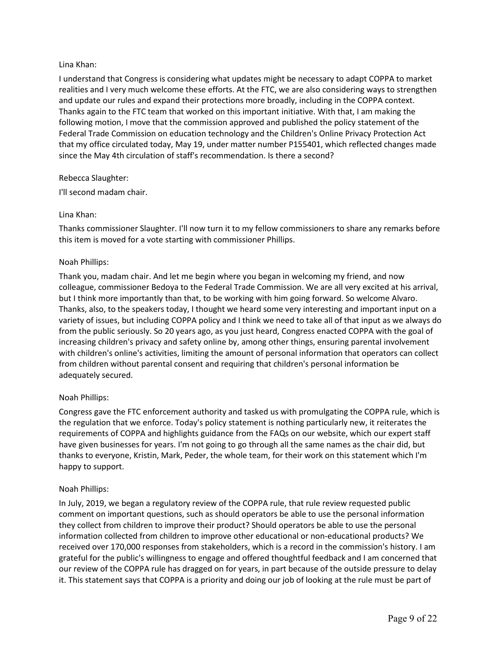# Lina Khan:

I understand that Congress is considering what updates might be necessary to adapt COPPA to market realities and I very much welcome these efforts. At the FTC, we are also considering ways to strengthen and update our rules and expand their protections more broadly, including in the COPPA context. Thanks again to the FTC team that worked on this important initiative. With that, I am making the following motion, I move that the commission approved and published the policy statement of the Federal Trade Commission on education technology and the Children's Online Privacy Protection Act that my office circulated today, May 19, under matter number P155401, which reflected changes made since the May 4th circulation of staff's recommendation. Is there a second?

# Rebecca Slaughter:

I'll second madam chair.

# Lina Khan:

Thanks commissioner Slaughter. I'll now turn it to my fellow commissioners to share any remarks before this item is moved for a vote starting with commissioner Phillips.

# Noah Phillips:

Thank you, madam chair. And let me begin where you began in welcoming my friend, and now colleague, commissioner Bedoya to the Federal Trade Commission. We are all very excited at his arrival, but I think more importantly than that, to be working with him going forward. So welcome Alvaro. Thanks, also, to the speakers today, I thought we heard some very interesting and important input on a variety of issues, but including COPPA policy and I think we need to take all of that input as we always do from the public seriously. So 20 years ago, as you just heard, Congress enacted COPPA with the goal of increasing children's privacy and safety online by, among other things, ensuring parental involvement with children's online's activities, limiting the amount of personal information that operators can collect from children without parental consent and requiring that children's personal information be adequately secured.

# Noah Phillips:

Congress gave the FTC enforcement authority and tasked us with promulgating the COPPA rule, which is the regulation that we enforce. Today's policy statement is nothing particularly new, it reiterates the requirements of COPPA and highlights guidance from the FAQs on our website, which our expert staff have given businesses for years. I'm not going to go through all the same names as the chair did, but thanks to everyone, Kristin, Mark, Peder, the whole team, for their work on this statement which I'm happy to support.

# Noah Phillips:

In July, 2019, we began a regulatory review of the COPPA rule, that rule review requested public comment on important questions, such as should operators be able to use the personal information they collect from children to improve their product? Should operators be able to use the personal information collected from children to improve other educational or non-educational products? We received over 170,000 responses from stakeholders, which is a record in the commission's history. I am grateful for the public's willingness to engage and offered thoughtful feedback and I am concerned that our review of the COPPA rule has dragged on for years, in part because of the outside pressure to delay it. This statement says that COPPA is a priority and doing our job of looking at the rule must be part of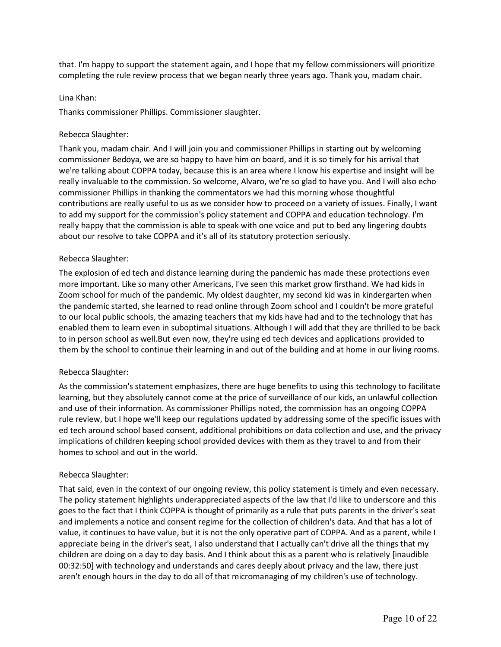that. I'm happy to support the statement again, and I hope that my fellow commissioners will prioritize completing the rule review process that we began nearly three years ago. Thank you, madam chair.

### Lina Khan:

Thanks commissioner Phillips. Commissioner slaughter.

# Rebecca Slaughter:

Thank you, madam chair. And I will join you and commissioner Phillips in starting out by welcoming commissioner Bedoya, we are so happy to have him on board, and it is so timely for his arrival that we're talking about COPPA today, because this is an area where I know his expertise and insight will be really invaluable to the commission. So welcome, Alvaro, we're so glad to have you. And I will also echo commissioner Phillips in thanking the commentators we had this morning whose thoughtful contributions are really useful to us as we consider how to proceed on a variety of issues. Finally, I want to add my support for the commission's policy statement and COPPA and education technology. I'm really happy that the commission is able to speak with one voice and put to bed any lingering doubts about our resolve to take COPPA and it's all of its statutory protection seriously.

# Rebecca Slaughter:

The explosion of ed tech and distance learning during the pandemic has made these protections even more important. Like so many other Americans, I've seen this market grow firsthand. We had kids in Zoom school for much of the pandemic. My oldest daughter, my second kid was in kindergarten when the pandemic started, she learned to read online through Zoom school and I couldn't be more grateful to our local public schools, the amazing teachers that my kids have had and to the technology that has enabled them to learn even in suboptimal situations. Although I will add that they are thrilled to be back to in person school as well.But even now, they're using ed tech devices and applications provided to them by the school to continue their learning in and out of the building and at home in our living rooms.

# Rebecca Slaughter:

As the commission's statement emphasizes, there are huge benefits to using this technology to facilitate learning, but they absolutely cannot come at the price of surveillance of our kids, an unlawful collection and use of their information. As commissioner Phillips noted, the commission has an ongoing COPPA rule review, but I hope we'll keep our regulations updated by addressing some of the specific issues with ed tech around school based consent, additional prohibitions on data collection and use, and the privacy implications of children keeping school provided devices with them as they travel to and from their homes to school and out in the world.

# Rebecca Slaughter:

That said, even in the context of our ongoing review, this policy statement is timely and even necessary. The policy statement highlights underappreciated aspects of the law that I'd like to underscore and this goes to the fact that I think COPPA is thought of primarily as a rule that puts parents in the driver's seat and implements a notice and consent regime for the collection of children's data. And that has a lot of value, it continues to have value, but it is not the only operative part of COPPA. And as a parent, while I appreciate being in the driver's seat, I also understand that I actually can't drive all the things that my children are doing on a day to day basis. And I think about this as a parent who is relatively [inaudible 00:32:50] with technology and understands and cares deeply about privacy and the law, there just aren't enough hours in the day to do all of that micromanaging of my children's use of technology.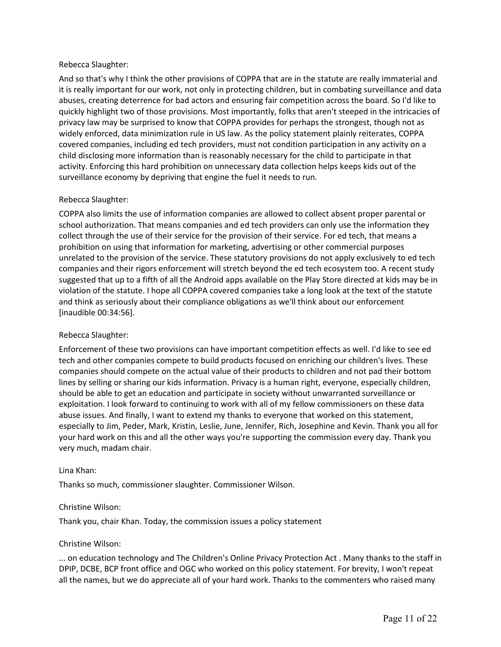# Rebecca Slaughter:

And so that's why I think the other provisions of COPPA that are in the statute are really immaterial and it is really important for our work, not only in protecting children, but in combating surveillance and data abuses, creating deterrence for bad actors and ensuring fair competition across the board. So I'd like to quickly highlight two of those provisions. Most importantly, folks that aren't steeped in the intricacies of privacy law may be surprised to know that COPPA provides for perhaps the strongest, though not as widely enforced, data minimization rule in US law. As the policy statement plainly reiterates, COPPA covered companies, including ed tech providers, must not condition participation in any activity on a child disclosing more information than is reasonably necessary for the child to participate in that activity. Enforcing this hard prohibition on unnecessary data collection helps keeps kids out of the surveillance economy by depriving that engine the fuel it needs to run.

# Rebecca Slaughter:

COPPA also limits the use of information companies are allowed to collect absent proper parental or school authorization. That means companies and ed tech providers can only use the information they collect through the use of their service for the provision of their service. For ed tech, that means a prohibition on using that information for marketing, advertising or other commercial purposes unrelated to the provision of the service. These statutory provisions do not apply exclusively to ed tech companies and their rigors enforcement will stretch beyond the ed tech ecosystem too. A recent study suggested that up to a fifth of all the Android apps available on the Play Store directed at kids may be in violation of the statute. I hope all COPPA covered companies take a long look at the text of the statute and think as seriously about their compliance obligations as we'll think about our enforcement [inaudible 00:34:56].

# Rebecca Slaughter:

Enforcement of these two provisions can have important competition effects as well. I'd like to see ed tech and other companies compete to build products focused on enriching our children's lives. These companies should compete on the actual value of their products to children and not pad their bottom lines by selling or sharing our kids information. Privacy is a human right, everyone, especially children, should be able to get an education and participate in society without unwarranted surveillance or exploitation. I look forward to continuing to work with all of my fellow commissioners on these data abuse issues. And finally, I want to extend my thanks to everyone that worked on this statement, especially to Jim, Peder, Mark, Kristin, Leslie, June, Jennifer, Rich, Josephine and Kevin. Thank you all for your hard work on this and all the other ways you're supporting the commission every day. Thank you very much, madam chair.

#### Lina Khan:

Thanks so much, commissioner slaughter. Commissioner Wilson.

# Christine Wilson:

Thank you, chair Khan. Today, the commission issues a policy statement

#### Christine Wilson:

... on education technology and The Children's Online Privacy Protection Act . Many thanks to the staff in DPIP, DCBE, BCP front office and OGC who worked on this policy statement. For brevity, I won't repeat all the names, but we do appreciate all of your hard work. Thanks to the commenters who raised many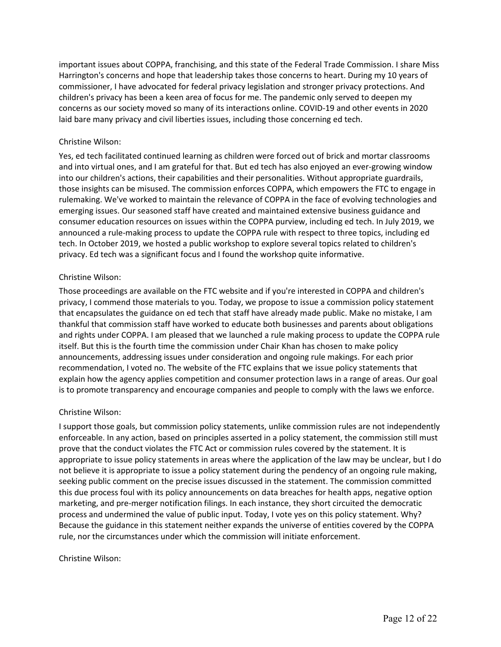important issues about COPPA, franchising, and this state of the Federal Trade Commission. I share Miss Harrington's concerns and hope that leadership takes those concerns to heart. During my 10 years of commissioner, I have advocated for federal privacy legislation and stronger privacy protections. And children's privacy has been a keen area of focus for me. The pandemic only served to deepen my concerns as our society moved so many of its interactions online. COVID-19 and other events in 2020 laid bare many privacy and civil liberties issues, including those concerning ed tech.

# Christine Wilson:

Yes, ed tech facilitated continued learning as children were forced out of brick and mortar classrooms and into virtual ones, and I am grateful for that. But ed tech has also enjoyed an ever-growing window into our children's actions, their capabilities and their personalities. Without appropriate guardrails, those insights can be misused. The commission enforces COPPA, which empowers the FTC to engage in rulemaking. We've worked to maintain the relevance of COPPA in the face of evolving technologies and emerging issues. Our seasoned staff have created and maintained extensive business guidance and consumer education resources on issues within the COPPA purview, including ed tech. In July 2019, we announced a rule-making process to update the COPPA rule with respect to three topics, including ed tech. In October 2019, we hosted a public workshop to explore several topics related to children's privacy. Ed tech was a significant focus and I found the workshop quite informative.

### Christine Wilson:

Those proceedings are available on the FTC website and if you're interested in COPPA and children's privacy, I commend those materials to you. Today, we propose to issue a commission policy statement that encapsulates the guidance on ed tech that staff have already made public. Make no mistake, I am thankful that commission staff have worked to educate both businesses and parents about obligations and rights under COPPA. I am pleased that we launched a rule making process to update the COPPA rule itself. But this is the fourth time the commission under Chair Khan has chosen to make policy announcements, addressing issues under consideration and ongoing rule makings. For each prior recommendation, I voted no. The website of the FTC explains that we issue policy statements that explain how the agency applies competition and consumer protection laws in a range of areas. Our goal is to promote transparency and encourage companies and people to comply with the laws we enforce.

#### Christine Wilson:

I support those goals, but commission policy statements, unlike commission rules are not independently enforceable. In any action, based on principles asserted in a policy statement, the commission still must prove that the conduct violates the FTC Act or commission rules covered by the statement. It is appropriate to issue policy statements in areas where the application of the law may be unclear, but I do not believe it is appropriate to issue a policy statement during the pendency of an ongoing rule making, seeking public comment on the precise issues discussed in the statement. The commission committed this due process foul with its policy announcements on data breaches for health apps, negative option marketing, and pre-merger notification filings. In each instance, they short circuited the democratic process and undermined the value of public input. Today, I vote yes on this policy statement. Why? Because the guidance in this statement neither expands the universe of entities covered by the COPPA rule, nor the circumstances under which the commission will initiate enforcement.

#### Christine Wilson: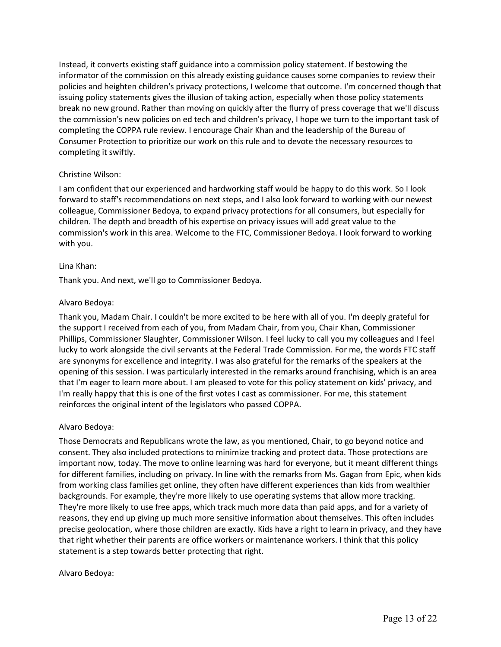Instead, it converts existing staff guidance into a commission policy statement. If bestowing the informator of the commission on this already existing guidance causes some companies to review their policies and heighten children's privacy protections, I welcome that outcome. I'm concerned though that issuing policy statements gives the illusion of taking action, especially when those policy statements break no new ground. Rather than moving on quickly after the flurry of press coverage that we'll discuss the commission's new policies on ed tech and children's privacy, I hope we turn to the important task of completing the COPPA rule review. I encourage Chair Khan and the leadership of the Bureau of Consumer Protection to prioritize our work on this rule and to devote the necessary resources to completing it swiftly.

# Christine Wilson:

I am confident that our experienced and hardworking staff would be happy to do this work. So I look forward to staff's recommendations on next steps, and I also look forward to working with our newest colleague, Commissioner Bedoya, to expand privacy protections for all consumers, but especially for children. The depth and breadth of his expertise on privacy issues will add great value to the commission's work in this area. Welcome to the FTC, Commissioner Bedoya. I look forward to working with you.

### Lina Khan:

Thank you. And next, we'll go to Commissioner Bedoya.

### Alvaro Bedoya:

Thank you, Madam Chair. I couldn't be more excited to be here with all of you. I'm deeply grateful for the support I received from each of you, from Madam Chair, from you, Chair Khan, Commissioner Phillips, Commissioner Slaughter, Commissioner Wilson. I feel lucky to call you my colleagues and I feel lucky to work alongside the civil servants at the Federal Trade Commission. For me, the words FTC staff are synonyms for excellence and integrity. I was also grateful for the remarks of the speakers at the opening of this session. I was particularly interested in the remarks around franchising, which is an area that I'm eager to learn more about. I am pleased to vote for this policy statement on kids' privacy, and I'm really happy that this is one of the first votes I cast as commissioner. For me, this statement reinforces the original intent of the legislators who passed COPPA.

# Alvaro Bedoya:

Those Democrats and Republicans wrote the law, as you mentioned, Chair, to go beyond notice and consent. They also included protections to minimize tracking and protect data. Those protections are important now, today. The move to online learning was hard for everyone, but it meant different things for different families, including on privacy. In line with the remarks from Ms. Gagan from Epic, when kids from working class families get online, they often have different experiences than kids from wealthier backgrounds. For example, they're more likely to use operating systems that allow more tracking. They're more likely to use free apps, which track much more data than paid apps, and for a variety of reasons, they end up giving up much more sensitive information about themselves. This often includes precise geolocation, where those children are exactly. Kids have a right to learn in privacy, and they have that right whether their parents are office workers or maintenance workers. I think that this policy statement is a step towards better protecting that right.

# Alvaro Bedoya: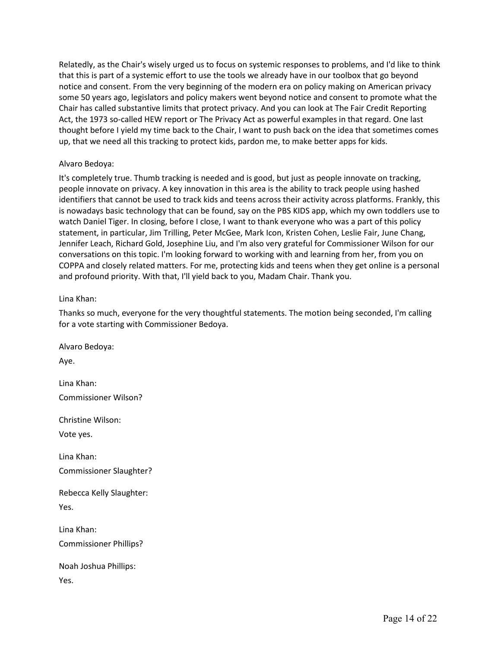Relatedly, as the Chair's wisely urged us to focus on systemic responses to problems, and I'd like to think that this is part of a systemic effort to use the tools we already have in our toolbox that go beyond notice and consent. From the very beginning of the modern era on policy making on American privacy some 50 years ago, legislators and policy makers went beyond notice and consent to promote what the Chair has called substantive limits that protect privacy. And you can look at The Fair Credit Reporting Act, the 1973 so-called HEW report or The Privacy Act as powerful examples in that regard. One last thought before I yield my time back to the Chair, I want to push back on the idea that sometimes comes up, that we need all this tracking to protect kids, pardon me, to make better apps for kids.

# Alvaro Bedoya:

It's completely true. Thumb tracking is needed and is good, but just as people innovate on tracking, people innovate on privacy. A key innovation in this area is the ability to track people using hashed identifiers that cannot be used to track kids and teens across their activity across platforms. Frankly, this is nowadays basic technology that can be found, say on the PBS KIDS app, which my own toddlers use to watch Daniel Tiger. In closing, before I close, I want to thank everyone who was a part of this policy statement, in particular, Jim Trilling, Peter McGee, Mark Icon, Kristen Cohen, Leslie Fair, June Chang, Jennifer Leach, Richard Gold, Josephine Liu, and I'm also very grateful for Commissioner Wilson for our conversations on this topic. I'm looking forward to working with and learning from her, from you on COPPA and closely related matters. For me, protecting kids and teens when they get online is a personal and profound priority. With that, I'll yield back to you, Madam Chair. Thank you.

# Lina Khan:

Thanks so much, everyone for the very thoughtful statements. The motion being seconded, I'm calling for a vote starting with Commissioner Bedoya.

Alvaro Bedoya: Aye. Lina Khan: Commissioner Wilson? Christine Wilson: Vote yes. Lina Khan: Commissioner Slaughter? Rebecca Kelly Slaughter: Yes. Lina Khan: Commissioner Phillips? Noah Joshua Phillips: Yes.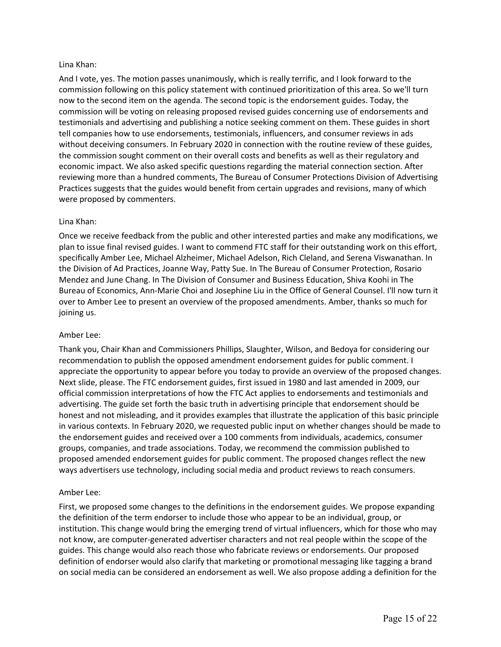### Lina Khan:

And I vote, yes. The motion passes unanimously, which is really terrific, and I look forward to the commission following on this policy statement with continued prioritization of this area. So we'll turn now to the second item on the agenda. The second topic is the endorsement guides. Today, the commission will be voting on releasing proposed revised guides concerning use of endorsements and testimonials and advertising and publishing a notice seeking comment on them. These guides in short tell companies how to use endorsements, testimonials, influencers, and consumer reviews in ads without deceiving consumers. In February 2020 in connection with the routine review of these guides, the commission sought comment on their overall costs and benefits as well as their regulatory and economic impact. We also asked specific questions regarding the material connection section. After reviewing more than a hundred comments, The Bureau of Consumer Protections Division of Advertising Practices suggests that the guides would benefit from certain upgrades and revisions, many of which were proposed by commenters.

### Lina Khan:

Once we receive feedback from the public and other interested parties and make any modifications, we plan to issue final revised guides. I want to commend FTC staff for their outstanding work on this effort, specifically Amber Lee, Michael Alzheimer, Michael Adelson, Rich Cleland, and Serena Viswanathan. In the Division of Ad Practices, Joanne Way, Patty Sue. In The Bureau of Consumer Protection, Rosario Mendez and June Chang. In The Division of Consumer and Business Education, Shiva Koohi in The Bureau of Economics, Ann-Marie Choi and Josephine Liu in the Office of General Counsel. I'll now turn it over to Amber Lee to present an overview of the proposed amendments. Amber, thanks so much for joining us.

#### Amber Lee:

Thank you, Chair Khan and Commissioners Phillips, Slaughter, Wilson, and Bedoya for considering our recommendation to publish the opposed amendment endorsement guides for public comment. I appreciate the opportunity to appear before you today to provide an overview of the proposed changes. Next slide, please. The FTC endorsement guides, first issued in 1980 and last amended in 2009, our official commission interpretations of how the FTC Act applies to endorsements and testimonials and advertising. The guide set forth the basic truth in advertising principle that endorsement should be honest and not misleading, and it provides examples that illustrate the application of this basic principle in various contexts. In February 2020, we requested public input on whether changes should be made to the endorsement guides and received over a 100 comments from individuals, academics, consumer groups, companies, and trade associations. Today, we recommend the commission published to proposed amended endorsement guides for public comment. The proposed changes reflect the new ways advertisers use technology, including social media and product reviews to reach consumers.

# Amber Lee:

First, we proposed some changes to the definitions in the endorsement guides. We propose expanding the definition of the term endorser to include those who appear to be an individual, group, or institution. This change would bring the emerging trend of virtual influencers, which for those who may not know, are computer-generated advertiser characters and not real people within the scope of the guides. This change would also reach those who fabricate reviews or endorsements. Our proposed definition of endorser would also clarify that marketing or promotional messaging like tagging a brand on social media can be considered an endorsement as well. We also propose adding a definition for the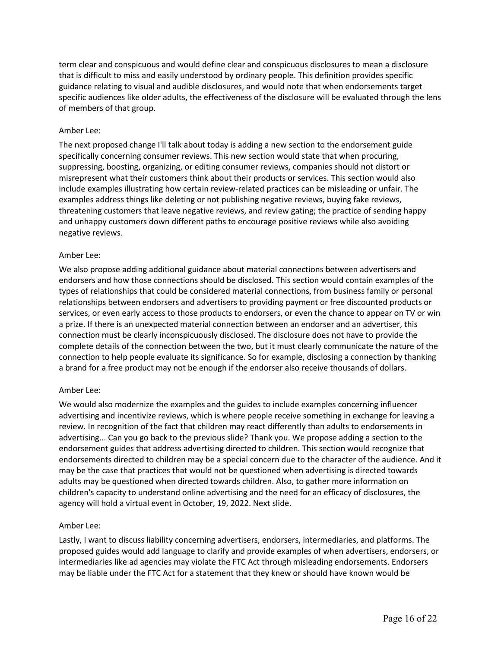term clear and conspicuous and would define clear and conspicuous disclosures to mean a disclosure that is difficult to miss and easily understood by ordinary people. This definition provides specific guidance relating to visual and audible disclosures, and would note that when endorsements target specific audiences like older adults, the effectiveness of the disclosure will be evaluated through the lens of members of that group.

# Amber Lee:

The next proposed change I'll talk about today is adding a new section to the endorsement guide specifically concerning consumer reviews. This new section would state that when procuring, suppressing, boosting, organizing, or editing consumer reviews, companies should not distort or misrepresent what their customers think about their products or services. This section would also include examples illustrating how certain review-related practices can be misleading or unfair. The examples address things like deleting or not publishing negative reviews, buying fake reviews, threatening customers that leave negative reviews, and review gating; the practice of sending happy and unhappy customers down different paths to encourage positive reviews while also avoiding negative reviews.

# Amber Lee:

We also propose adding additional guidance about material connections between advertisers and endorsers and how those connections should be disclosed. This section would contain examples of the types of relationships that could be considered material connections, from business family or personal relationships between endorsers and advertisers to providing payment or free discounted products or services, or even early access to those products to endorsers, or even the chance to appear on TV or win a prize. If there is an unexpected material connection between an endorser and an advertiser, this connection must be clearly inconspicuously disclosed. The disclosure does not have to provide the complete details of the connection between the two, but it must clearly communicate the nature of the connection to help people evaluate its significance. So for example, disclosing a connection by thanking a brand for a free product may not be enough if the endorser also receive thousands of dollars.

# Amber Lee:

We would also modernize the examples and the guides to include examples concerning influencer advertising and incentivize reviews, which is where people receive something in exchange for leaving a review. In recognition of the fact that children may react differently than adults to endorsements in advertising... Can you go back to the previous slide? Thank you. We propose adding a section to the endorsement guides that address advertising directed to children. This section would recognize that endorsements directed to children may be a special concern due to the character of the audience. And it may be the case that practices that would not be questioned when advertising is directed towards adults may be questioned when directed towards children. Also, to gather more information on children's capacity to understand online advertising and the need for an efficacy of disclosures, the agency will hold a virtual event in October, 19, 2022. Next slide.

# Amber Lee:

Lastly, I want to discuss liability concerning advertisers, endorsers, intermediaries, and platforms. The proposed guides would add language to clarify and provide examples of when advertisers, endorsers, or intermediaries like ad agencies may violate the FTC Act through misleading endorsements. Endorsers may be liable under the FTC Act for a statement that they knew or should have known would be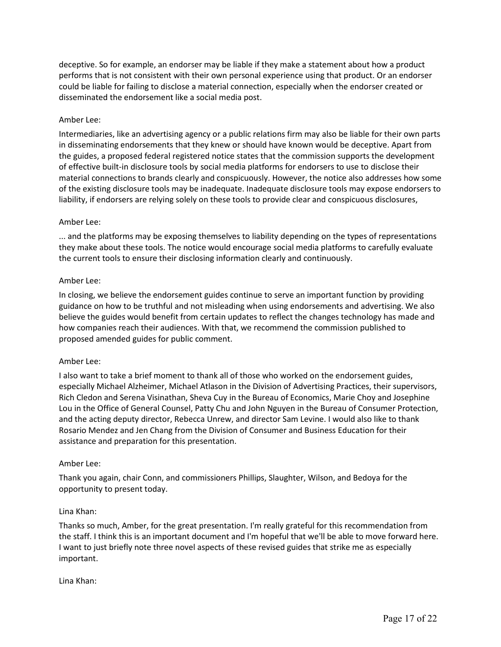deceptive. So for example, an endorser may be liable if they make a statement about how a product performs that is not consistent with their own personal experience using that product. Or an endorser could be liable for failing to disclose a material connection, especially when the endorser created or disseminated the endorsement like a social media post.

# Amber Lee:

Intermediaries, like an advertising agency or a public relations firm may also be liable for their own parts in disseminating endorsements that they knew or should have known would be deceptive. Apart from the guides, a proposed federal registered notice states that the commission supports the development of effective built-in disclosure tools by social media platforms for endorsers to use to disclose their material connections to brands clearly and conspicuously. However, the notice also addresses how some of the existing disclosure tools may be inadequate. Inadequate disclosure tools may expose endorsers to liability, if endorsers are relying solely on these tools to provide clear and conspicuous disclosures,

# Amber Lee:

... and the platforms may be exposing themselves to liability depending on the types of representations they make about these tools. The notice would encourage social media platforms to carefully evaluate the current tools to ensure their disclosing information clearly and continuously.

# Amber Lee:

In closing, we believe the endorsement guides continue to serve an important function by providing guidance on how to be truthful and not misleading when using endorsements and advertising. We also believe the guides would benefit from certain updates to reflect the changes technology has made and how companies reach their audiences. With that, we recommend the commission published to proposed amended guides for public comment.

# Amber Lee:

I also want to take a brief moment to thank all of those who worked on the endorsement guides, especially Michael Alzheimer, Michael Atlason in the Division of Advertising Practices, their supervisors, Rich Cledon and Serena Visinathan, Sheva Cuy in the Bureau of Economics, Marie Choy and Josephine Lou in the Office of General Counsel, Patty Chu and John Nguyen in the Bureau of Consumer Protection, and the acting deputy director, Rebecca Unrew, and director Sam Levine. I would also like to thank Rosario Mendez and Jen Chang from the Division of Consumer and Business Education for their assistance and preparation for this presentation.

# Amber Lee:

Thank you again, chair Conn, and commissioners Phillips, Slaughter, Wilson, and Bedoya for the opportunity to present today.

# Lina Khan:

Thanks so much, Amber, for the great presentation. I'm really grateful for this recommendation from the staff. I think this is an important document and I'm hopeful that we'll be able to move forward here. I want to just briefly note three novel aspects of these revised guides that strike me as especially important.

# Lina Khan: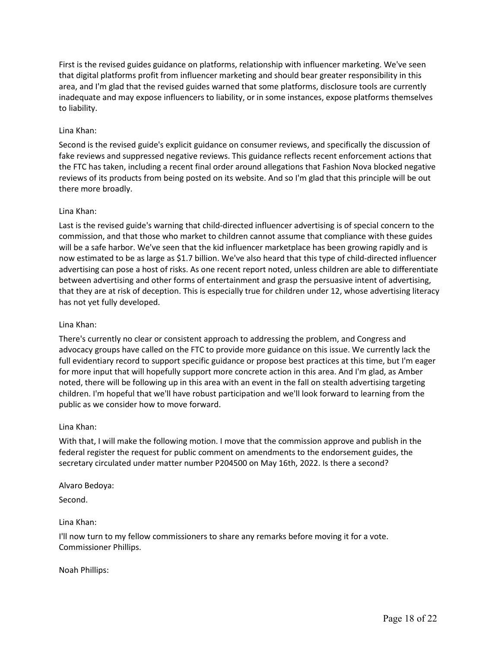First is the revised guides guidance on platforms, relationship with influencer marketing. We've seen that digital platforms profit from influencer marketing and should bear greater responsibility in this area, and I'm glad that the revised guides warned that some platforms, disclosure tools are currently inadequate and may expose influencers to liability, or in some instances, expose platforms themselves to liability.

# Lina Khan:

Second is the revised guide's explicit guidance on consumer reviews, and specifically the discussion of fake reviews and suppressed negative reviews. This guidance reflects recent enforcement actions that the FTC has taken, including a recent final order around allegations that Fashion Nova blocked negative reviews of its products from being posted on its website. And so I'm glad that this principle will be out there more broadly.

# Lina Khan:

Last is the revised guide's warning that child-directed influencer advertising is of special concern to the commission, and that those who market to children cannot assume that compliance with these guides will be a safe harbor. We've seen that the kid influencer marketplace has been growing rapidly and is now estimated to be as large as \$1.7 billion. We've also heard that this type of child-directed influencer advertising can pose a host of risks. As one recent report noted, unless children are able to differentiate between advertising and other forms of entertainment and grasp the persuasive intent of advertising, that they are at risk of deception. This is especially true for children under 12, whose advertising literacy has not yet fully developed.

### Lina Khan:

There's currently no clear or consistent approach to addressing the problem, and Congress and advocacy groups have called on the FTC to provide more guidance on this issue. We currently lack the full evidentiary record to support specific guidance or propose best practices at this time, but I'm eager for more input that will hopefully support more concrete action in this area. And I'm glad, as Amber noted, there will be following up in this area with an event in the fall on stealth advertising targeting children. I'm hopeful that we'll have robust participation and we'll look forward to learning from the public as we consider how to move forward.

#### Lina Khan:

With that, I will make the following motion. I move that the commission approve and publish in the federal register the request for public comment on amendments to the endorsement guides, the secretary circulated under matter number P204500 on May 16th, 2022. Is there a second?

Alvaro Bedoya:

Second.

# Lina Khan:

I'll now turn to my fellow commissioners to share any remarks before moving it for a vote. Commissioner Phillips.

#### Noah Phillips: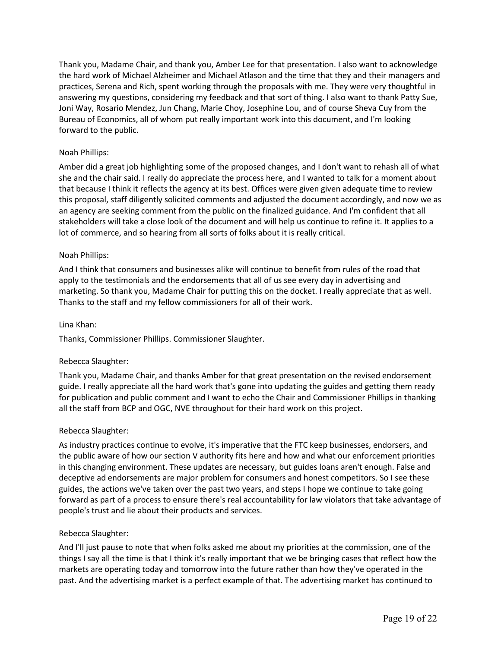Thank you, Madame Chair, and thank you, Amber Lee for that presentation. I also want to acknowledge the hard work of Michael Alzheimer and Michael Atlason and the time that they and their managers and practices, Serena and Rich, spent working through the proposals with me. They were very thoughtful in answering my questions, considering my feedback and that sort of thing. I also want to thank Patty Sue, Joni Way, Rosario Mendez, Jun Chang, Marie Choy, Josephine Lou, and of course Sheva Cuy from the Bureau of Economics, all of whom put really important work into this document, and I'm looking forward to the public.

# Noah Phillips:

Amber did a great job highlighting some of the proposed changes, and I don't want to rehash all of what she and the chair said. I really do appreciate the process here, and I wanted to talk for a moment about that because I think it reflects the agency at its best. Offices were given given adequate time to review this proposal, staff diligently solicited comments and adjusted the document accordingly, and now we as an agency are seeking comment from the public on the finalized guidance. And I'm confident that all stakeholders will take a close look of the document and will help us continue to refine it. It applies to a lot of commerce, and so hearing from all sorts of folks about it is really critical.

# Noah Phillips:

And I think that consumers and businesses alike will continue to benefit from rules of the road that apply to the testimonials and the endorsements that all of us see every day in advertising and marketing. So thank you, Madame Chair for putting this on the docket. I really appreciate that as well. Thanks to the staff and my fellow commissioners for all of their work.

#### Lina Khan:

Thanks, Commissioner Phillips. Commissioner Slaughter.

# Rebecca Slaughter:

Thank you, Madame Chair, and thanks Amber for that great presentation on the revised endorsement guide. I really appreciate all the hard work that's gone into updating the guides and getting them ready for publication and public comment and I want to echo the Chair and Commissioner Phillips in thanking all the staff from BCP and OGC, NVE throughout for their hard work on this project.

#### Rebecca Slaughter:

As industry practices continue to evolve, it's imperative that the FTC keep businesses, endorsers, and the public aware of how our section V authority fits here and how and what our enforcement priorities in this changing environment. These updates are necessary, but guides loans aren't enough. False and deceptive ad endorsements are major problem for consumers and honest competitors. So I see these guides, the actions we've taken over the past two years, and steps I hope we continue to take going forward as part of a process to ensure there's real accountability for law violators that take advantage of people's trust and lie about their products and services.

#### Rebecca Slaughter:

And I'll just pause to note that when folks asked me about my priorities at the commission, one of the things I say all the time is that I think it's really important that we be bringing cases that reflect how the markets are operating today and tomorrow into the future rather than how they've operated in the past. And the advertising market is a perfect example of that. The advertising market has continued to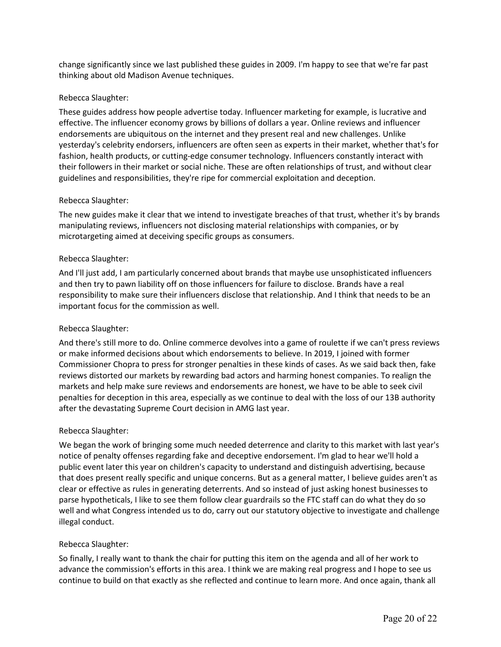change significantly since we last published these guides in 2009. I'm happy to see that we're far past thinking about old Madison Avenue techniques.

# Rebecca Slaughter:

These guides address how people advertise today. Influencer marketing for example, is lucrative and effective. The influencer economy grows by billions of dollars a year. Online reviews and influencer endorsements are ubiquitous on the internet and they present real and new challenges. Unlike yesterday's celebrity endorsers, influencers are often seen as experts in their market, whether that's for fashion, health products, or cutting-edge consumer technology. Influencers constantly interact with their followers in their market or social niche. These are often relationships of trust, and without clear guidelines and responsibilities, they're ripe for commercial exploitation and deception.

### Rebecca Slaughter:

The new guides make it clear that we intend to investigate breaches of that trust, whether it's by brands manipulating reviews, influencers not disclosing material relationships with companies, or by microtargeting aimed at deceiving specific groups as consumers.

### Rebecca Slaughter:

And I'll just add, I am particularly concerned about brands that maybe use unsophisticated influencers and then try to pawn liability off on those influencers for failure to disclose. Brands have a real responsibility to make sure their influencers disclose that relationship. And I think that needs to be an important focus for the commission as well.

# Rebecca Slaughter:

And there's still more to do. Online commerce devolves into a game of roulette if we can't press reviews or make informed decisions about which endorsements to believe. In 2019, I joined with former Commissioner Chopra to press for stronger penalties in these kinds of cases. As we said back then, fake reviews distorted our markets by rewarding bad actors and harming honest companies. To realign the markets and help make sure reviews and endorsements are honest, we have to be able to seek civil penalties for deception in this area, especially as we continue to deal with the loss of our 13B authority after the devastating Supreme Court decision in AMG last year.

#### Rebecca Slaughter:

We began the work of bringing some much needed deterrence and clarity to this market with last year's notice of penalty offenses regarding fake and deceptive endorsement. I'm glad to hear we'll hold a public event later this year on children's capacity to understand and distinguish advertising, because that does present really specific and unique concerns. But as a general matter, I believe guides aren't as clear or effective as rules in generating deterrents. And so instead of just asking honest businesses to parse hypotheticals, I like to see them follow clear guardrails so the FTC staff can do what they do so well and what Congress intended us to do, carry out our statutory objective to investigate and challenge illegal conduct.

# Rebecca Slaughter:

So finally, I really want to thank the chair for putting this item on the agenda and all of her work to advance the commission's efforts in this area. I think we are making real progress and I hope to see us continue to build on that exactly as she reflected and continue to learn more. And once again, thank all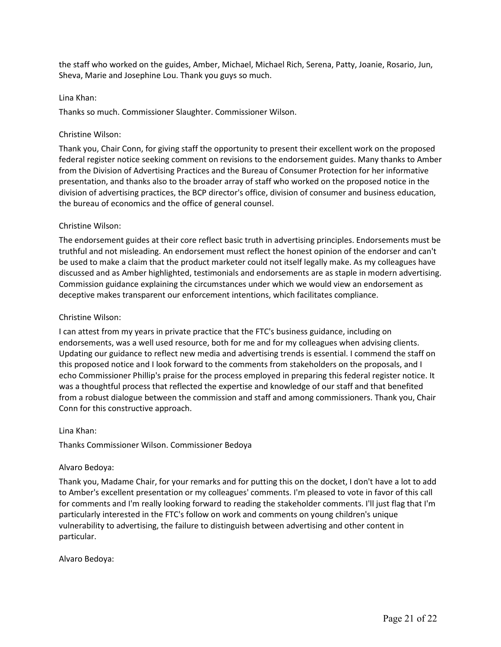the staff who worked on the guides, Amber, Michael, Michael Rich, Serena, Patty, Joanie, Rosario, Jun, Sheva, Marie and Josephine Lou. Thank you guys so much.

### Lina Khan:

Thanks so much. Commissioner Slaughter. Commissioner Wilson.

### Christine Wilson:

Thank you, Chair Conn, for giving staff the opportunity to present their excellent work on the proposed federal register notice seeking comment on revisions to the endorsement guides. Many thanks to Amber from the Division of Advertising Practices and the Bureau of Consumer Protection for her informative presentation, and thanks also to the broader array of staff who worked on the proposed notice in the division of advertising practices, the BCP director's office, division of consumer and business education, the bureau of economics and the office of general counsel.

### Christine Wilson:

The endorsement guides at their core reflect basic truth in advertising principles. Endorsements must be truthful and not misleading. An endorsement must reflect the honest opinion of the endorser and can't be used to make a claim that the product marketer could not itself legally make. As my colleagues have discussed and as Amber highlighted, testimonials and endorsements are as staple in modern advertising. Commission guidance explaining the circumstances under which we would view an endorsement as deceptive makes transparent our enforcement intentions, which facilitates compliance.

### Christine Wilson:

I can attest from my years in private practice that the FTC's business guidance, including on endorsements, was a well used resource, both for me and for my colleagues when advising clients. Updating our guidance to reflect new media and advertising trends is essential. I commend the staff on this proposed notice and I look forward to the comments from stakeholders on the proposals, and I echo Commissioner Phillip's praise for the process employed in preparing this federal register notice. It was a thoughtful process that reflected the expertise and knowledge of our staff and that benefited from a robust dialogue between the commission and staff and among commissioners. Thank you, Chair Conn for this constructive approach.

#### Lina Khan:

Thanks Commissioner Wilson. Commissioner Bedoya

# Alvaro Bedoya:

Thank you, Madame Chair, for your remarks and for putting this on the docket, I don't have a lot to add to Amber's excellent presentation or my colleagues' comments. I'm pleased to vote in favor of this call for comments and I'm really looking forward to reading the stakeholder comments. I'll just flag that I'm particularly interested in the FTC's follow on work and comments on young children's unique vulnerability to advertising, the failure to distinguish between advertising and other content in particular.

Alvaro Bedoya: